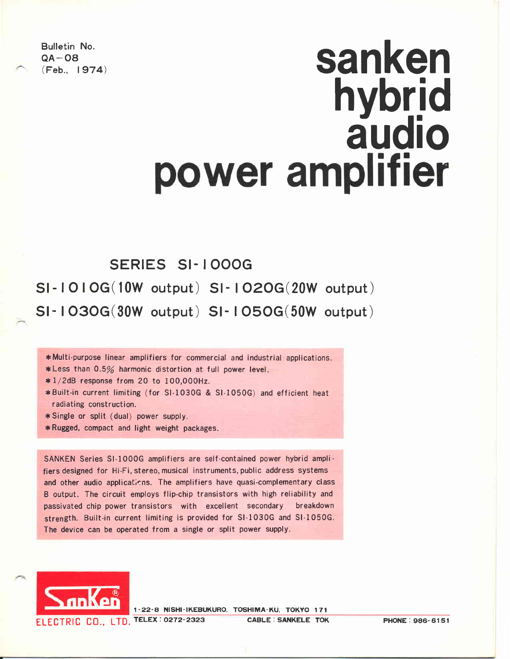Bulletin No.  $QA - OB$ <br>(Feb., 1974)

# sanken hvbrid audio

## SERIES SI- I OOOG

Sl-lOlOG(lOw output) Sl- IO2OG(2OW output) SI-  $1030G(30W$  output) SI-  $1050G(50W)$  output)

\*Multi-purpose linear amplifiers for commercial and industrial applications.

\*Less than  $0.5%$  harmonic distortion at full power level.

 $*1/2dB$  response from 20 to 100,000Hz.

- \* Built-in current limiting (for SI-1030G & SI-1050G) and efficient heat radiating construction.
- $*$  Single or split (dual) power supply.
- \* Rugged, compact and light weight packages.

SANKEN Series Sl-1000G amplifiers are self-contained power hybrid amplifiers designed for Hi-Fi, stereo, musical instruments, public address systems and other audio applications. The amplifiers have quasi-complementary class B output. The circuit employs flip-chip transistors with high reliability and passivated chip power transistors with excellent secondary breakdown strength. Built-in current limiting is provided for Sl-1030G and Sl-1050G. The device can be operated from a single or split power supply.



1-22-8 NISHI-IKEBUKURO, TOSHIMA-KU, TOKYO 171 ELECTRIC CO., LTD. TELEX: 0272-2323 CABLE: SANKELE TOK PHONE: 986-6151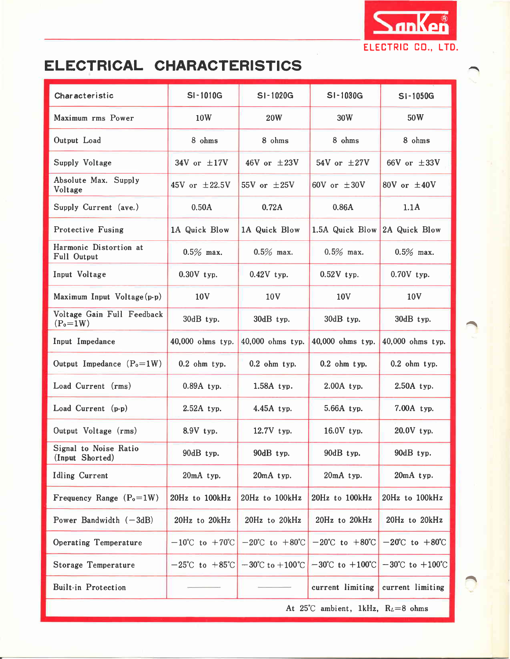

## ELECTRICAL CHARACTERISTICS

| Characteristic                           | SI-1010G                           | SI-1020G                           | SI-1030G                                                                | SI-1050G                            |
|------------------------------------------|------------------------------------|------------------------------------|-------------------------------------------------------------------------|-------------------------------------|
| Maximum rms Power                        | 10W                                | <b>20W</b>                         | 30W                                                                     | 50W                                 |
| Output Load                              | 8 ohms                             | 8 ohms                             | 8 ohms                                                                  | 8 ohms                              |
| Supply Voltage                           | 34V or $\pm 17V$                   | 46V or $\pm 23V$                   | 54V or $\pm 27V$                                                        | 66V or $\pm 33V$                    |
| Absolute Max. Supply<br>Voltage          | 45V or $\pm 22.5V$                 | 55V or $\pm 25V$                   | 60V or $\pm 30V$                                                        | 80V or $\pm 40V$                    |
| Supply Current (ave.)                    | 0.50A                              | 0.72A                              | 0.86A                                                                   | 1.1A                                |
| <b>Protective Fusing</b>                 | 1A Quick Blow                      | 1A Quick Blow                      | 1.5A Quick Blow 2A Quick Blow                                           |                                     |
| Harmonic Distortion at<br>Full Output    | $0.5\%$ max.                       | $0.5\%$ max.                       | $0.5\%$ max.                                                            | $0.5\%$ max.                        |
| Input Voltage                            | $0.30V$ typ.                       | $0.42V$ typ.                       | $0.52V$ typ.                                                            | $0.70V$ typ.                        |
| Maximum Input Voltage(p-p)               | 10 <sub>V</sub>                    | 10 <sub>V</sub>                    | 10 <sub>V</sub>                                                         | 10V                                 |
| Voltage Gain Full Feedback<br>$(P_0=1W)$ | 30dB typ.                          | 30dB typ.                          | 30dB typ.                                                               | 30dB typ.                           |
| Input Impedance                          | 40,000 ohms typ.                   | 40,000 ohms typ.                   | 40,000 ohms typ.                                                        | 40,000 ohms typ.                    |
| Output Impedance $(P_0=1W)$              | $0.2$ ohm typ.                     | $0.2$ ohm typ.                     | $0.2$ ohm typ.                                                          | $0.2$ ohm typ.                      |
| Load Current (rms)                       | 0.89A typ.                         | 1.58A typ.                         | $2.00A$ typ.                                                            | 2.50A typ.                          |
| Load Current (p-p)                       | $2.52A$ typ.                       | 4.45A typ.                         | 5.66A typ.                                                              | 7.00A typ.                          |
| Output Voltage (rms)                     | 8.9V typ.                          | 12.7V typ.                         | 16.0V typ.                                                              | 20.0V typ.                          |
| Signal to Noise Ratio<br>(Input Shorted) | 90dB typ.                          | 90dB typ.                          | 90dB typ.                                                               | 90dB typ.                           |
| <b>Idling Current</b>                    | 20mA typ.                          | 20mA typ.                          | 20mA typ.                                                               | 20mA typ.                           |
| Frequency Range $(P_0=1W)$               | 20Hz to 100kHz                     | 20Hz to 100kHz                     | 20Hz to 100kHz                                                          | 20Hz to 100kHz                      |
| Power Bandwidth $(-3dB)$                 | 20Hz to 20kHz                      | 20Hz to 20kHz                      | 20Hz to 20kHz                                                           | 20Hz to 20kHz                       |
| <b>Operating Temperature</b>             | $-10^{\circ}$ C to $+70^{\circ}$ C | $-20^{\circ}$ C to $+80^{\circ}$ C | $-20^{\circ}$ C to $+80^{\circ}$ C                                      | $-20^{\circ}$ C to $+80^{\circ}$ C  |
| Storage Temperature                      | $-25^{\circ}$ C to $+85^{\circ}$ C |                                    | $-30^{\circ}$ C to $+100^{\circ}$ C $-30^{\circ}$ C to $+100^{\circ}$ C | $-30^{\circ}$ C to $+100^{\circ}$ C |
| <b>Built-in Protection</b>               |                                    |                                    | current limiting                                                        | current limiting                    |
|                                          |                                    |                                    | At 25°C ambient, 1kHz, $R_L=8$ ohms                                     |                                     |

^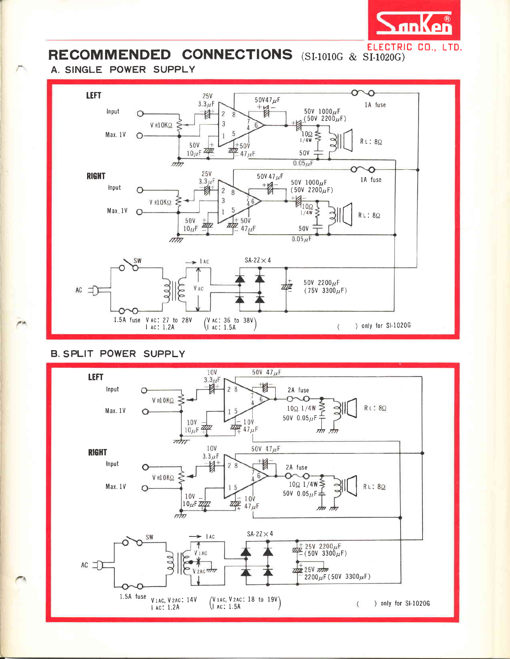

## **RECOMMENDED CONNECTIONS** (SI-1010G & SI-1020G)

### A. SINGLE POWER SUPPLY



## **B. SPLIT POWER SUPPLY**

 $\overline{\phantom{a}}$ 

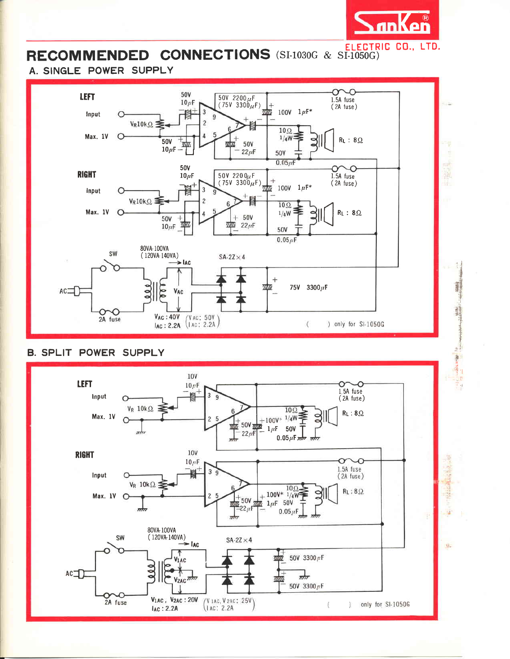

## RECOMMENDED CONNECTIONS (SI-1030G & SI-1050G)

## A. SINGLE POWER SUPPLY



## **B. SPLIT POWER SUPPLY**

![](_page_3_Figure_5.jpeg)

 $\frac{1}{n}$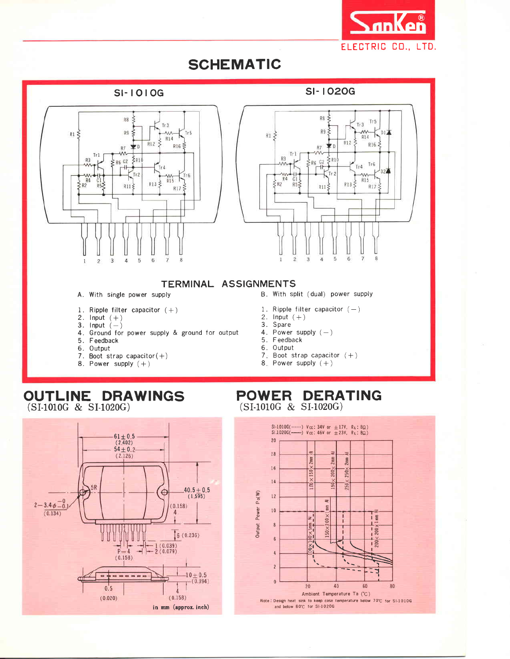![](_page_4_Picture_0.jpeg)

## **SCHEMATIC**

#### **SI-1010G**

![](_page_4_Figure_3.jpeg)

![](_page_4_Figure_4.jpeg)

![](_page_4_Figure_5.jpeg)

#### TERMINAL ASSIGNMENTS

- A. With single power supply
- 1. Ripple filter capacitor  $(+)$
- 2. Input  $(+)$
- 3. Input  $(-)$
- 4. Ground for power supply & ground for output
- 5. Feedback
- 6. Output
- 7. Boot strap capacitor $(+)$
- 8. Power supply  $(+)$

#### B. With split (dual) power supply

- 1. Ripple filter capacitor  $(-)$
- 2. Input  $(+)$
- 3. Spare
- 4. Power supply  $(-)$
- 5. Feedback
- 6. Output
- 7. Boot strap capacitor  $(+)$ 8. Power supply  $(+)$
- 

### OUTLINE DRAWINGS  $(SI-1010G \& SI-1020G)$

![](_page_4_Figure_26.jpeg)

### POWER DERATING (SI-1010G & SI-1020G)

![](_page_4_Figure_28.jpeg)